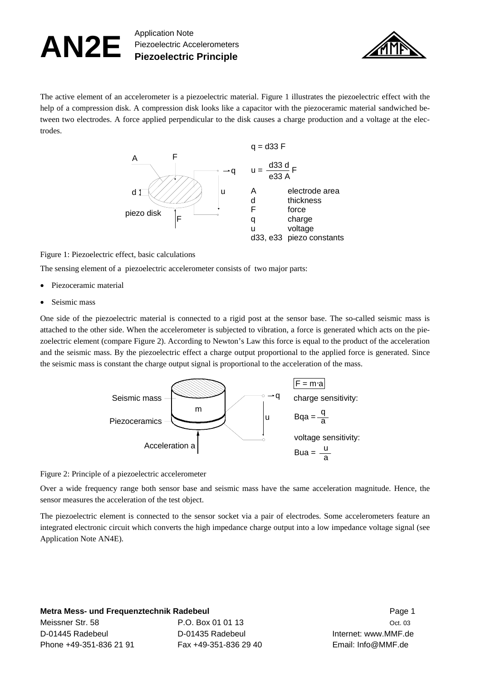## AN2E Application Note Piezoelectric Accelerometers **Piezoelectric Principle**



The active element of an accelerometer is a piezoelectric material. Figure 1 illustrates the piezoelectric effect with the help of a compression disk. A compression disk looks like a capacitor with the piezoceramic material sandwiched between two electrodes. A force applied perpendicular to the disk causes a charge production and a voltage at the electrodes.



Figure 1: Piezoelectric effect, basic calculations

The sensing element of a piezoelectric accelerometer consists of two major parts:

- Piezoceramic material
- Seismic mass

One side of the piezoelectric material is connected to a rigid post at the sensor base. The so-called seismic mass is attached to the other side. When the accelerometer is subjected to vibration, a force is generated which acts on the piezoelectric element (compare Figure 2). According to Newton's Law this force is equal to the product of the acceleration and the seismic mass. By the piezoelectric effect a charge output proportional to the applied force is generated. Since the seismic mass is constant the charge output signal is proportional to the acceleration of the mass.



Figure 2: Principle of a piezoelectric accelerometer

Over a wide frequency range both sensor base and seismic mass have the same acceleration magnitude. Hence, the sensor measures the acceleration of the test object.

The piezoelectric element is connected to the sensor socket via a pair of electrodes. Some accelerometers feature an integrated electronic circuit which converts the high impedance charge output into a low impedance voltage signal (see Application Note AN4E).

**Metra Mess- und Frequenztechnik Radebeul** Page 1 Meissner Str. 58 **P.O. Box 01 01 13** Oct. 03 Oct. 03 D-01445 Radebeul D-01435 Radebeul Internet: www.MMF.de Phone +49-351-836 21 91 Fax +49-351-836 29 40 Email: Info@MMF.de